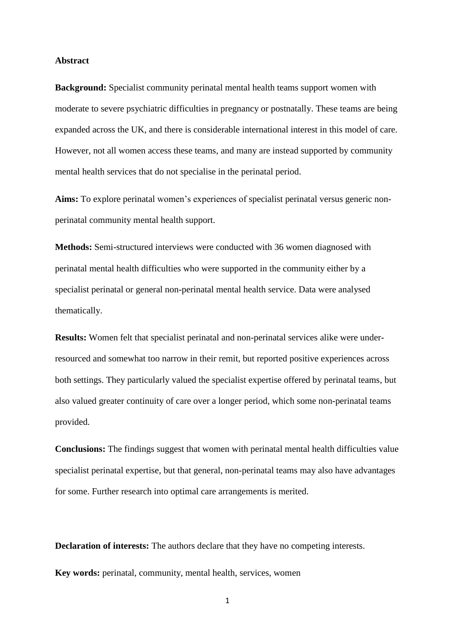#### **Abstract**

**Background:** Specialist community perinatal mental health teams support women with moderate to severe psychiatric difficulties in pregnancy or postnatally. These teams are being expanded across the UK, and there is considerable international interest in this model of care. However, not all women access these teams, and many are instead supported by community mental health services that do not specialise in the perinatal period.

**Aims:** To explore perinatal women's experiences of specialist perinatal versus generic nonperinatal community mental health support.

**Methods:** Semi-structured interviews were conducted with 36 women diagnosed with perinatal mental health difficulties who were supported in the community either by a specialist perinatal or general non-perinatal mental health service. Data were analysed thematically.

**Results:** Women felt that specialist perinatal and non-perinatal services alike were underresourced and somewhat too narrow in their remit, but reported positive experiences across both settings. They particularly valued the specialist expertise offered by perinatal teams, but also valued greater continuity of care over a longer period, which some non-perinatal teams provided.

**Conclusions:** The findings suggest that women with perinatal mental health difficulties value specialist perinatal expertise, but that general, non-perinatal teams may also have advantages for some. Further research into optimal care arrangements is merited.

**Declaration of interests:** The authors declare that they have no competing interests.

**Key words:** perinatal, community, mental health, services, women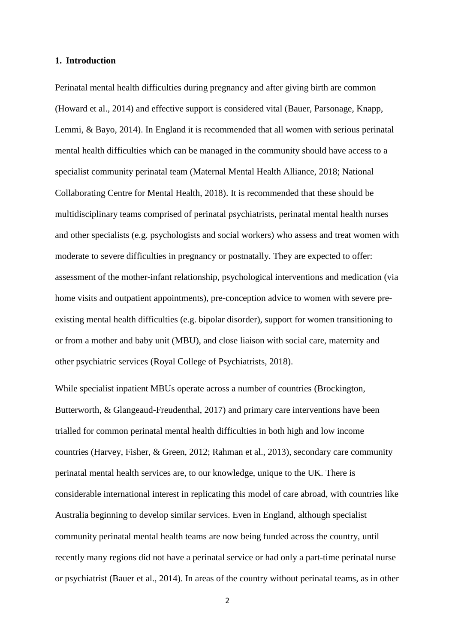## **1. Introduction**

Perinatal mental health difficulties during pregnancy and after giving birth are common (Howard et al., 2014) and effective support is considered vital (Bauer, Parsonage, Knapp, Lemmi, & Bayo, 2014). In England it is recommended that all women with serious perinatal mental health difficulties which can be managed in the community should have access to a specialist community perinatal team (Maternal Mental Health Alliance, 2018; National Collaborating Centre for Mental Health, 2018). It is recommended that these should be multidisciplinary teams comprised of perinatal psychiatrists, perinatal mental health nurses and other specialists (e.g. psychologists and social workers) who assess and treat women with moderate to severe difficulties in pregnancy or postnatally. They are expected to offer: assessment of the mother-infant relationship, psychological interventions and medication (via home visits and outpatient appointments), pre-conception advice to women with severe preexisting mental health difficulties (e.g. bipolar disorder), support for women transitioning to or from a mother and baby unit (MBU), and close liaison with social care, maternity and other psychiatric services (Royal College of Psychiatrists, 2018).

While specialist inpatient MBUs operate across a number of countries (Brockington, Butterworth, & Glangeaud-Freudenthal, 2017) and primary care interventions have been trialled for common perinatal mental health difficulties in both high and low income countries (Harvey, Fisher, & Green, 2012; Rahman et al., 2013), secondary care community perinatal mental health services are, to our knowledge, unique to the UK. There is considerable international interest in replicating this model of care abroad, with countries like Australia beginning to develop similar services. Even in England, although specialist community perinatal mental health teams are now being funded across the country, until recently many regions did not have a perinatal service or had only a part-time perinatal nurse or psychiatrist (Bauer et al., 2014). In areas of the country without perinatal teams, as in other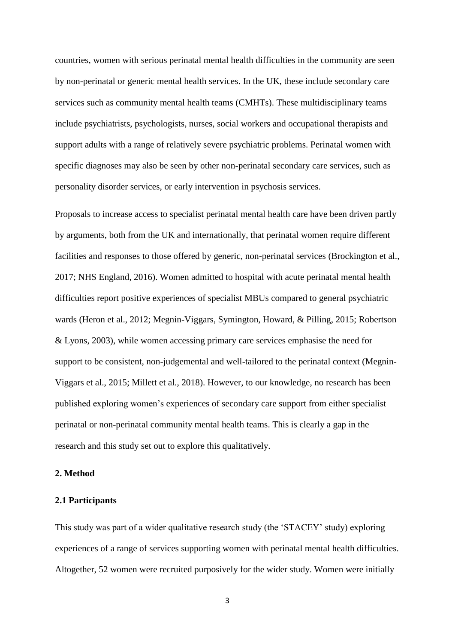countries, women with serious perinatal mental health difficulties in the community are seen by non-perinatal or generic mental health services. In the UK, these include secondary care services such as community mental health teams (CMHTs). These multidisciplinary teams include psychiatrists, psychologists, nurses, social workers and occupational therapists and support adults with a range of relatively severe psychiatric problems. Perinatal women with specific diagnoses may also be seen by other non-perinatal secondary care services, such as personality disorder services, or early intervention in psychosis services.

Proposals to increase access to specialist perinatal mental health care have been driven partly by arguments, both from the UK and internationally, that perinatal women require different facilities and responses to those offered by generic, non-perinatal services (Brockington et al., 2017; NHS England, 2016). Women admitted to hospital with acute perinatal mental health difficulties report positive experiences of specialist MBUs compared to general psychiatric wards (Heron et al., 2012; Megnin-Viggars, Symington, Howard, & Pilling, 2015; Robertson & Lyons, 2003), while women accessing primary care services emphasise the need for support to be consistent, non-judgemental and well-tailored to the perinatal context (Megnin-Viggars et al., 2015; Millett et al., 2018). However, to our knowledge, no research has been published exploring women's experiences of secondary care support from either specialist perinatal or non-perinatal community mental health teams. This is clearly a gap in the research and this study set out to explore this qualitatively.

#### **2. Method**

#### **2.1 Participants**

This study was part of a wider qualitative research study (the 'STACEY' study) exploring experiences of a range of services supporting women with perinatal mental health difficulties. Altogether, 52 women were recruited purposively for the wider study. Women were initially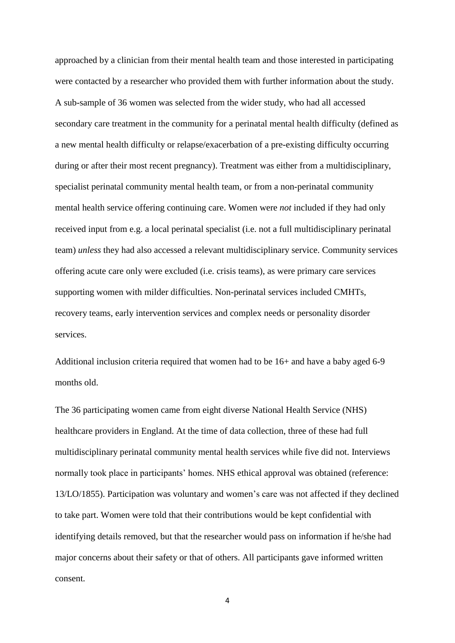approached by a clinician from their mental health team and those interested in participating were contacted by a researcher who provided them with further information about the study. A sub-sample of 36 women was selected from the wider study, who had all accessed secondary care treatment in the community for a perinatal mental health difficulty (defined as a new mental health difficulty or relapse/exacerbation of a pre-existing difficulty occurring during or after their most recent pregnancy). Treatment was either from a multidisciplinary, specialist perinatal community mental health team, or from a non-perinatal community mental health service offering continuing care. Women were *not* included if they had only received input from e.g. a local perinatal specialist (i.e. not a full multidisciplinary perinatal team) *unless* they had also accessed a relevant multidisciplinary service. Community services offering acute care only were excluded (i.e. crisis teams), as were primary care services supporting women with milder difficulties. Non-perinatal services included CMHTs, recovery teams, early intervention services and complex needs or personality disorder services.

Additional inclusion criteria required that women had to be 16+ and have a baby aged 6-9 months old.

The 36 participating women came from eight diverse National Health Service (NHS) healthcare providers in England. At the time of data collection, three of these had full multidisciplinary perinatal community mental health services while five did not. Interviews normally took place in participants' homes. NHS ethical approval was obtained (reference: 13/LO/1855). Participation was voluntary and women's care was not affected if they declined to take part. Women were told that their contributions would be kept confidential with identifying details removed, but that the researcher would pass on information if he/she had major concerns about their safety or that of others. All participants gave informed written consent.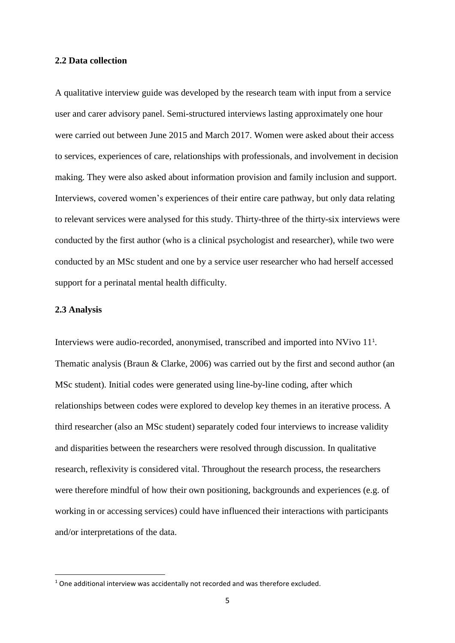## **2.2 Data collection**

A qualitative interview guide was developed by the research team with input from a service user and carer advisory panel. Semi-structured interviews lasting approximately one hour were carried out between June 2015 and March 2017. Women were asked about their access to services, experiences of care, relationships with professionals, and involvement in decision making. They were also asked about information provision and family inclusion and support. Interviews, covered women's experiences of their entire care pathway, but only data relating to relevant services were analysed for this study. Thirty-three of the thirty-six interviews were conducted by the first author (who is a clinical psychologist and researcher), while two were conducted by an MSc student and one by a service user researcher who had herself accessed support for a perinatal mental health difficulty.

## **2.3 Analysis**

**.** 

Interviews were audio-recorded, anonymised, transcribed and imported into NVivo 11<sup>1</sup> . Thematic analysis (Braun & Clarke, 2006) was carried out by the first and second author (an MSc student). Initial codes were generated using line-by-line coding, after which relationships between codes were explored to develop key themes in an iterative process. A third researcher (also an MSc student) separately coded four interviews to increase validity and disparities between the researchers were resolved through discussion. In qualitative research, reflexivity is considered vital. Throughout the research process, the researchers were therefore mindful of how their own positioning, backgrounds and experiences (e.g. of working in or accessing services) could have influenced their interactions with participants and/or interpretations of the data.

<sup>&</sup>lt;sup>1</sup> One additional interview was accidentally not recorded and was therefore excluded.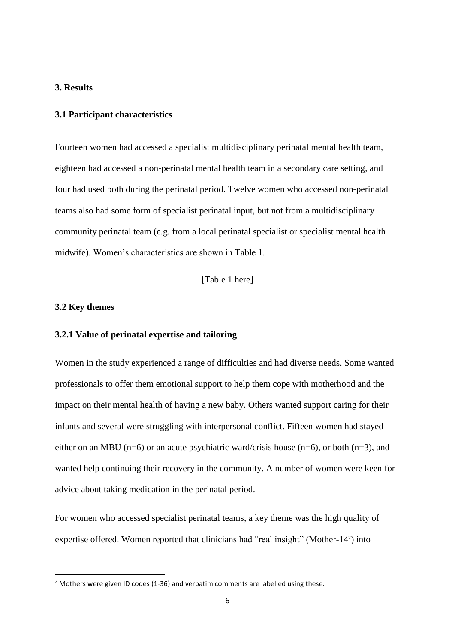# **3. Results**

# **3.1 Participant characteristics**

Fourteen women had accessed a specialist multidisciplinary perinatal mental health team, eighteen had accessed a non-perinatal mental health team in a secondary care setting, and four had used both during the perinatal period. Twelve women who accessed non-perinatal teams also had some form of specialist perinatal input, but not from a multidisciplinary community perinatal team (e.g. from a local perinatal specialist or specialist mental health midwife). Women's characteristics are shown in Table 1.

[Table 1 here]

## **3.2 Key themes**

**.** 

## **3.2.1 Value of perinatal expertise and tailoring**

Women in the study experienced a range of difficulties and had diverse needs. Some wanted professionals to offer them emotional support to help them cope with motherhood and the impact on their mental health of having a new baby. Others wanted support caring for their infants and several were struggling with interpersonal conflict. Fifteen women had stayed either on an MBU ( $n=6$ ) or an acute psychiatric ward/crisis house ( $n=6$ ), or both ( $n=3$ ), and wanted help continuing their recovery in the community. A number of women were keen for advice about taking medication in the perinatal period.

For women who accessed specialist perinatal teams, a key theme was the high quality of expertise offered. Women reported that clinicians had "real insight" (Mother-14<sup>2</sup>) into

 $2$  Mothers were given ID codes (1-36) and verbatim comments are labelled using these.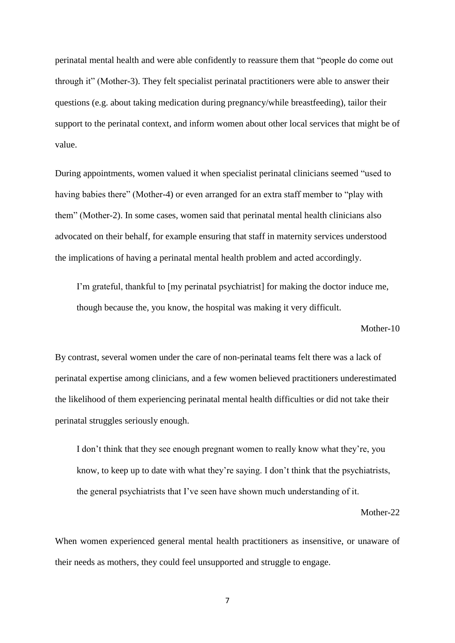perinatal mental health and were able confidently to reassure them that "people do come out through it" (Mother-3). They felt specialist perinatal practitioners were able to answer their questions (e.g. about taking medication during pregnancy/while breastfeeding), tailor their support to the perinatal context, and inform women about other local services that might be of value.

During appointments, women valued it when specialist perinatal clinicians seemed "used to having babies there" (Mother-4) or even arranged for an extra staff member to "play with them" (Mother-2). In some cases, women said that perinatal mental health clinicians also advocated on their behalf, for example ensuring that staff in maternity services understood the implications of having a perinatal mental health problem and acted accordingly.

I'm grateful, thankful to [my perinatal psychiatrist] for making the doctor induce me, though because the, you know, the hospital was making it very difficult.

Mother-10

By contrast, several women under the care of non-perinatal teams felt there was a lack of perinatal expertise among clinicians, and a few women believed practitioners underestimated the likelihood of them experiencing perinatal mental health difficulties or did not take their perinatal struggles seriously enough.

I don't think that they see enough pregnant women to really know what they're, you know, to keep up to date with what they're saying. I don't think that the psychiatrists, the general psychiatrists that I've seen have shown much understanding of it.

Mother-22

When women experienced general mental health practitioners as insensitive, or unaware of their needs as mothers, they could feel unsupported and struggle to engage.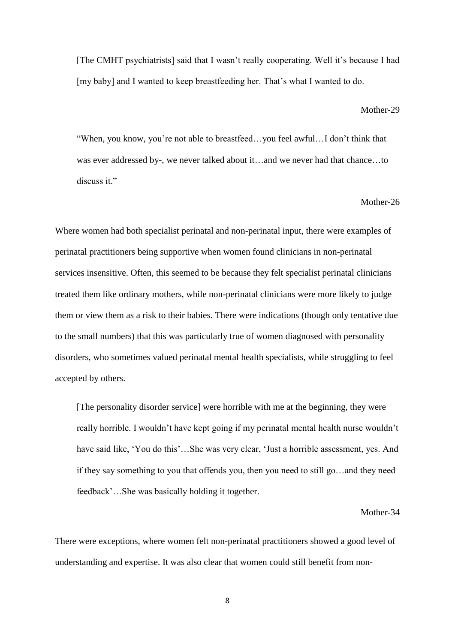[The CMHT psychiatrists] said that I wasn't really cooperating. Well it's because I had [my baby] and I wanted to keep breastfeeding her. That's what I wanted to do.

#### Mother-29

"When, you know, you're not able to breastfeed…you feel awful…I don't think that was ever addressed by-, we never talked about it…and we never had that chance…to discuss it."

## Mother-26

Where women had both specialist perinatal and non-perinatal input, there were examples of perinatal practitioners being supportive when women found clinicians in non-perinatal services insensitive. Often, this seemed to be because they felt specialist perinatal clinicians treated them like ordinary mothers, while non-perinatal clinicians were more likely to judge them or view them as a risk to their babies. There were indications (though only tentative due to the small numbers) that this was particularly true of women diagnosed with personality disorders, who sometimes valued perinatal mental health specialists, while struggling to feel accepted by others.

[The personality disorder service] were horrible with me at the beginning, they were really horrible. I wouldn't have kept going if my perinatal mental health nurse wouldn't have said like, 'You do this'…She was very clear, 'Just a horrible assessment, yes. And if they say something to you that offends you, then you need to still go…and they need feedback'…She was basically holding it together.

#### Mother-34

There were exceptions, where women felt non-perinatal practitioners showed a good level of understanding and expertise. It was also clear that women could still benefit from non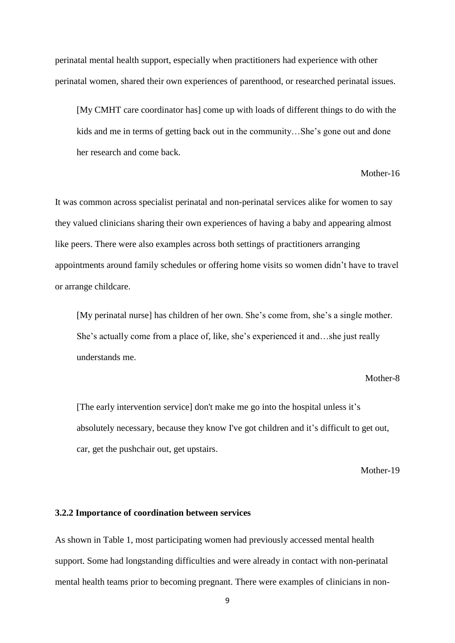perinatal mental health support, especially when practitioners had experience with other perinatal women, shared their own experiences of parenthood, or researched perinatal issues.

[My CMHT care coordinator has] come up with loads of different things to do with the kids and me in terms of getting back out in the community…She's gone out and done her research and come back.

#### Mother-16

It was common across specialist perinatal and non-perinatal services alike for women to say they valued clinicians sharing their own experiences of having a baby and appearing almost like peers. There were also examples across both settings of practitioners arranging appointments around family schedules or offering home visits so women didn't have to travel or arrange childcare.

[My perinatal nurse] has children of her own. She's come from, she's a single mother. She's actually come from a place of, like, she's experienced it and…she just really understands me.

#### Mother-8

[The early intervention service] don't make me go into the hospital unless it's absolutely necessary, because they know I've got children and it's difficult to get out, car, get the pushchair out, get upstairs.

Mother-19

#### **3.2.2 Importance of coordination between services**

As shown in Table 1, most participating women had previously accessed mental health support. Some had longstanding difficulties and were already in contact with non-perinatal mental health teams prior to becoming pregnant. There were examples of clinicians in non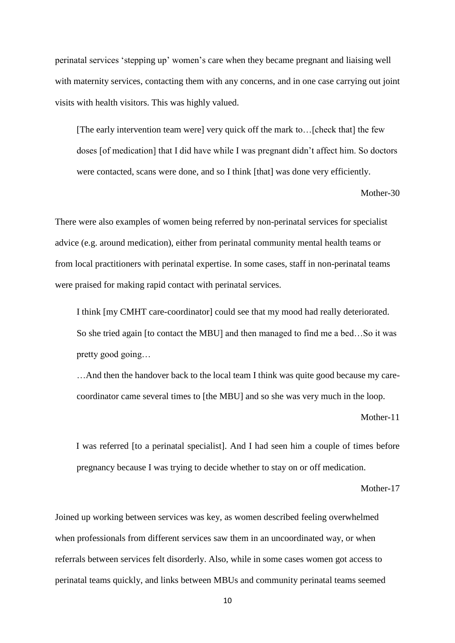perinatal services 'stepping up' women's care when they became pregnant and liaising well with maternity services, contacting them with any concerns, and in one case carrying out joint visits with health visitors. This was highly valued.

[The early intervention team were] very quick off the mark to…[check that] the few doses [of medication] that I did have while I was pregnant didn't affect him. So doctors were contacted, scans were done, and so I think [that] was done very efficiently.

Mother-30

There were also examples of women being referred by non-perinatal services for specialist advice (e.g. around medication), either from perinatal community mental health teams or from local practitioners with perinatal expertise. In some cases, staff in non-perinatal teams were praised for making rapid contact with perinatal services.

I think [my CMHT care-coordinator] could see that my mood had really deteriorated. So she tried again [to contact the MBU] and then managed to find me a bed…So it was pretty good going…

…And then the handover back to the local team I think was quite good because my carecoordinator came several times to [the MBU] and so she was very much in the loop.

Mother-11

I was referred [to a perinatal specialist]. And I had seen him a couple of times before pregnancy because I was trying to decide whether to stay on or off medication.

Mother-17

Joined up working between services was key, as women described feeling overwhelmed when professionals from different services saw them in an uncoordinated way, or when referrals between services felt disorderly. Also, while in some cases women got access to perinatal teams quickly, and links between MBUs and community perinatal teams seemed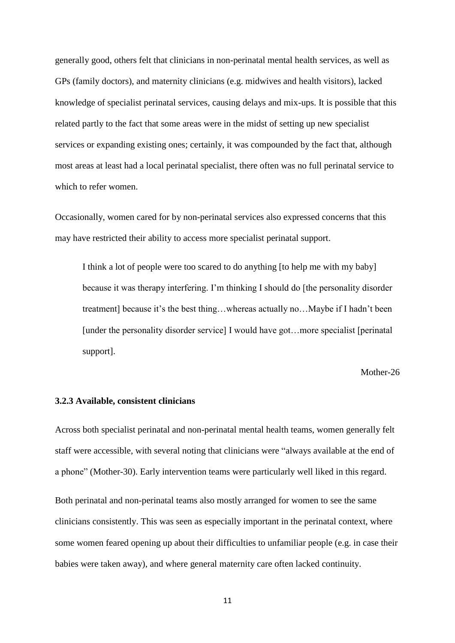generally good, others felt that clinicians in non-perinatal mental health services, as well as GPs (family doctors), and maternity clinicians (e.g. midwives and health visitors), lacked knowledge of specialist perinatal services, causing delays and mix-ups. It is possible that this related partly to the fact that some areas were in the midst of setting up new specialist services or expanding existing ones; certainly, it was compounded by the fact that, although most areas at least had a local perinatal specialist, there often was no full perinatal service to which to refer women.

Occasionally, women cared for by non-perinatal services also expressed concerns that this may have restricted their ability to access more specialist perinatal support.

I think a lot of people were too scared to do anything [to help me with my baby] because it was therapy interfering. I'm thinking I should do [the personality disorder treatment] because it's the best thing…whereas actually no…Maybe if I hadn't been [under the personality disorder service] I would have got…more specialist [perinatal support].

Mother-26

## **3.2.3 Available, consistent clinicians**

Across both specialist perinatal and non-perinatal mental health teams, women generally felt staff were accessible, with several noting that clinicians were "always available at the end of a phone" (Mother-30). Early intervention teams were particularly well liked in this regard.

Both perinatal and non-perinatal teams also mostly arranged for women to see the same clinicians consistently. This was seen as especially important in the perinatal context, where some women feared opening up about their difficulties to unfamiliar people (e.g. in case their babies were taken away), and where general maternity care often lacked continuity.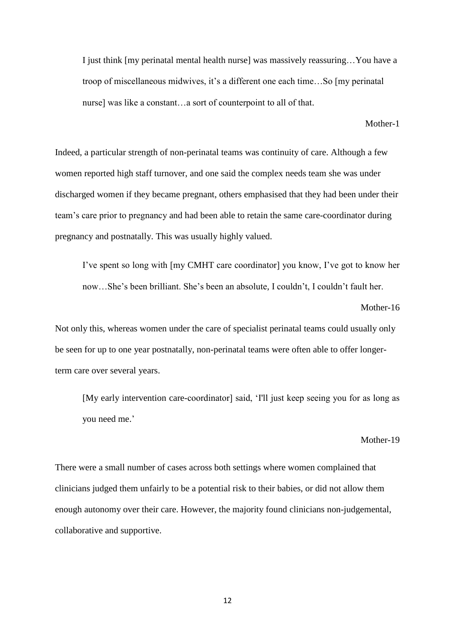I just think [my perinatal mental health nurse] was massively reassuring…You have a troop of miscellaneous midwives, it's a different one each time…So [my perinatal nurse] was like a constant…a sort of counterpoint to all of that.

Mother-1

Indeed, a particular strength of non-perinatal teams was continuity of care. Although a few women reported high staff turnover, and one said the complex needs team she was under discharged women if they became pregnant, others emphasised that they had been under their team's care prior to pregnancy and had been able to retain the same care-coordinator during pregnancy and postnatally. This was usually highly valued.

I've spent so long with [my CMHT care coordinator] you know, I've got to know her now…She's been brilliant. She's been an absolute, I couldn't, I couldn't fault her.

Mother-16

Not only this, whereas women under the care of specialist perinatal teams could usually only be seen for up to one year postnatally, non-perinatal teams were often able to offer longerterm care over several years.

[My early intervention care-coordinator] said, 'I'll just keep seeing you for as long as you need me.'

Mother-19

There were a small number of cases across both settings where women complained that clinicians judged them unfairly to be a potential risk to their babies, or did not allow them enough autonomy over their care. However, the majority found clinicians non-judgemental, collaborative and supportive.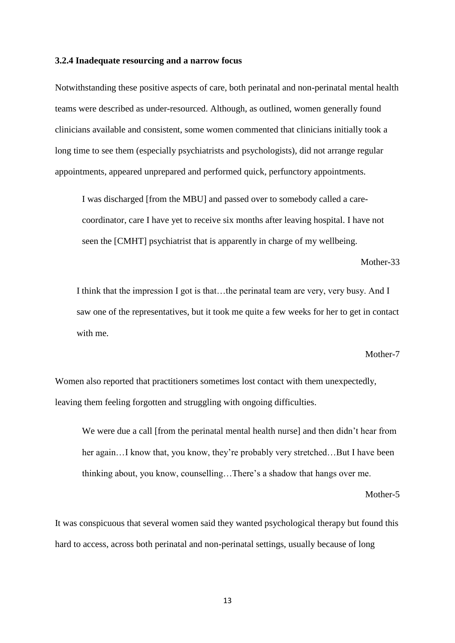#### **3.2.4 Inadequate resourcing and a narrow focus**

Notwithstanding these positive aspects of care, both perinatal and non-perinatal mental health teams were described as under-resourced. Although, as outlined, women generally found clinicians available and consistent, some women commented that clinicians initially took a long time to see them (especially psychiatrists and psychologists), did not arrange regular appointments, appeared unprepared and performed quick, perfunctory appointments.

I was discharged [from the MBU] and passed over to somebody called a carecoordinator, care I have yet to receive six months after leaving hospital. I have not seen the [CMHT] psychiatrist that is apparently in charge of my wellbeing.

Mother-33

I think that the impression I got is that…the perinatal team are very, very busy. And I saw one of the representatives, but it took me quite a few weeks for her to get in contact with me.

#### Mother-7

Women also reported that practitioners sometimes lost contact with them unexpectedly, leaving them feeling forgotten and struggling with ongoing difficulties.

We were due a call [from the perinatal mental health nurse] and then didn't hear from her again...I know that, you know, they're probably very stretched...But I have been thinking about, you know, counselling…There's a shadow that hangs over me.

Mother-5

It was conspicuous that several women said they wanted psychological therapy but found this hard to access, across both perinatal and non-perinatal settings, usually because of long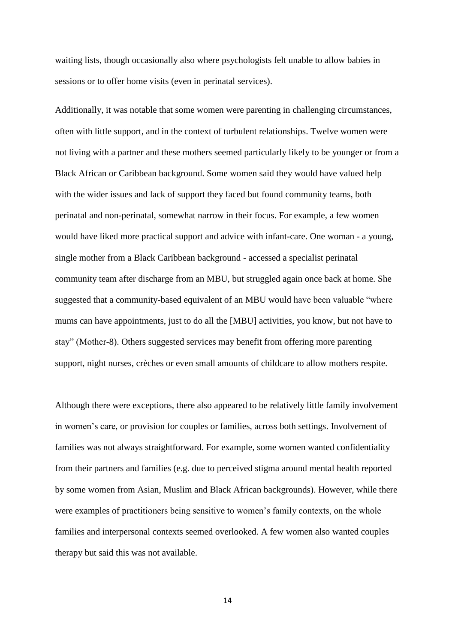waiting lists, though occasionally also where psychologists felt unable to allow babies in sessions or to offer home visits (even in perinatal services).

Additionally, it was notable that some women were parenting in challenging circumstances, often with little support, and in the context of turbulent relationships. Twelve women were not living with a partner and these mothers seemed particularly likely to be younger or from a Black African or Caribbean background. Some women said they would have valued help with the wider issues and lack of support they faced but found community teams, both perinatal and non-perinatal, somewhat narrow in their focus. For example, a few women would have liked more practical support and advice with infant-care. One woman - a young, single mother from a Black Caribbean background - accessed a specialist perinatal community team after discharge from an MBU, but struggled again once back at home. She suggested that a community-based equivalent of an MBU would have been valuable "where mums can have appointments, just to do all the [MBU] activities, you know, but not have to stay" (Mother-8). Others suggested services may benefit from offering more parenting support, night nurses, crèches or even small amounts of childcare to allow mothers respite.

Although there were exceptions, there also appeared to be relatively little family involvement in women's care, or provision for couples or families, across both settings. Involvement of families was not always straightforward. For example, some women wanted confidentiality from their partners and families (e.g. due to perceived stigma around mental health reported by some women from Asian, Muslim and Black African backgrounds). However, while there were examples of practitioners being sensitive to women's family contexts, on the whole families and interpersonal contexts seemed overlooked. A few women also wanted couples therapy but said this was not available.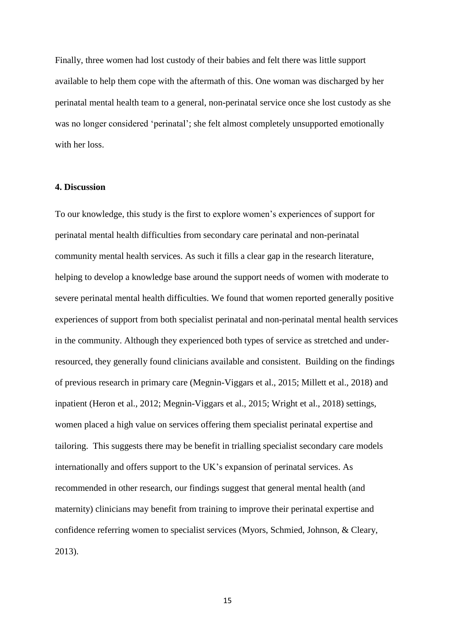Finally, three women had lost custody of their babies and felt there was little support available to help them cope with the aftermath of this. One woman was discharged by her perinatal mental health team to a general, non-perinatal service once she lost custody as she was no longer considered 'perinatal'; she felt almost completely unsupported emotionally with her loss.

## **4. Discussion**

To our knowledge, this study is the first to explore women's experiences of support for perinatal mental health difficulties from secondary care perinatal and non-perinatal community mental health services. As such it fills a clear gap in the research literature, helping to develop a knowledge base around the support needs of women with moderate to severe perinatal mental health difficulties. We found that women reported generally positive experiences of support from both specialist perinatal and non-perinatal mental health services in the community. Although they experienced both types of service as stretched and underresourced, they generally found clinicians available and consistent. Building on the findings of previous research in primary care (Megnin-Viggars et al., 2015; Millett et al., 2018) and inpatient (Heron et al., 2012; Megnin-Viggars et al., 2015; Wright et al., 2018) settings, women placed a high value on services offering them specialist perinatal expertise and tailoring. This suggests there may be benefit in trialling specialist secondary care models internationally and offers support to the UK's expansion of perinatal services. As recommended in other research, our findings suggest that general mental health (and maternity) clinicians may benefit from training to improve their perinatal expertise and confidence referring women to specialist services (Myors, Schmied, Johnson, & Cleary, 2013).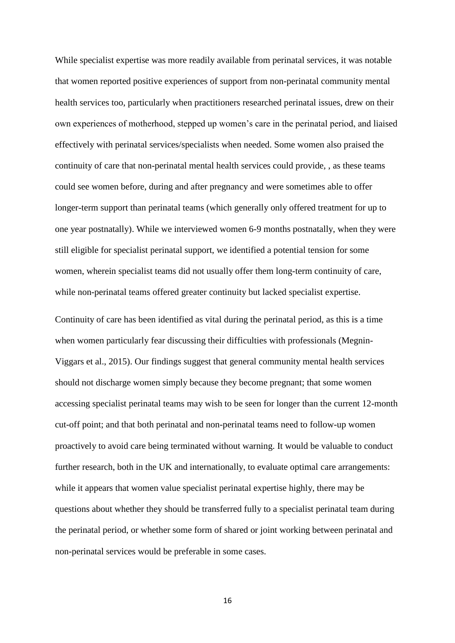While specialist expertise was more readily available from perinatal services, it was notable that women reported positive experiences of support from non-perinatal community mental health services too, particularly when practitioners researched perinatal issues, drew on their own experiences of motherhood, stepped up women's care in the perinatal period, and liaised effectively with perinatal services/specialists when needed. Some women also praised the continuity of care that non-perinatal mental health services could provide, , as these teams could see women before, during and after pregnancy and were sometimes able to offer longer-term support than perinatal teams (which generally only offered treatment for up to one year postnatally). While we interviewed women 6-9 months postnatally, when they were still eligible for specialist perinatal support, we identified a potential tension for some women, wherein specialist teams did not usually offer them long-term continuity of care, while non-perinatal teams offered greater continuity but lacked specialist expertise.

Continuity of care has been identified as vital during the perinatal period, as this is a time when women particularly fear discussing their difficulties with professionals (Megnin-Viggars et al., 2015). Our findings suggest that general community mental health services should not discharge women simply because they become pregnant; that some women accessing specialist perinatal teams may wish to be seen for longer than the current 12-month cut-off point; and that both perinatal and non-perinatal teams need to follow-up women proactively to avoid care being terminated without warning. It would be valuable to conduct further research, both in the UK and internationally, to evaluate optimal care arrangements: while it appears that women value specialist perinatal expertise highly, there may be questions about whether they should be transferred fully to a specialist perinatal team during the perinatal period, or whether some form of shared or joint working between perinatal and non-perinatal services would be preferable in some cases.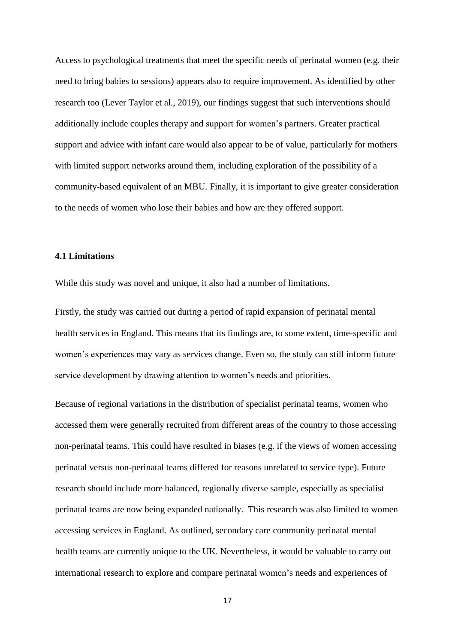Access to psychological treatments that meet the specific needs of perinatal women (e.g. their need to bring babies to sessions) appears also to require improvement. As identified by other research too (Lever Taylor et al., 2019), our findings suggest that such interventions should additionally include couples therapy and support for women's partners. Greater practical support and advice with infant care would also appear to be of value, particularly for mothers with limited support networks around them, including exploration of the possibility of a community-based equivalent of an MBU. Finally, it is important to give greater consideration to the needs of women who lose their babies and how are they offered support.

# **4.1 Limitations**

While this study was novel and unique, it also had a number of limitations.

Firstly, the study was carried out during a period of rapid expansion of perinatal mental health services in England. This means that its findings are, to some extent, time-specific and women's experiences may vary as services change. Even so, the study can still inform future service development by drawing attention to women's needs and priorities.

Because of regional variations in the distribution of specialist perinatal teams, women who accessed them were generally recruited from different areas of the country to those accessing non-perinatal teams. This could have resulted in biases (e.g. if the views of women accessing perinatal versus non-perinatal teams differed for reasons unrelated to service type). Future research should include more balanced, regionally diverse sample, especially as specialist perinatal teams are now being expanded nationally. This research was also limited to women accessing services in England. As outlined, secondary care community perinatal mental health teams are currently unique to the UK. Nevertheless, it would be valuable to carry out international research to explore and compare perinatal women's needs and experiences of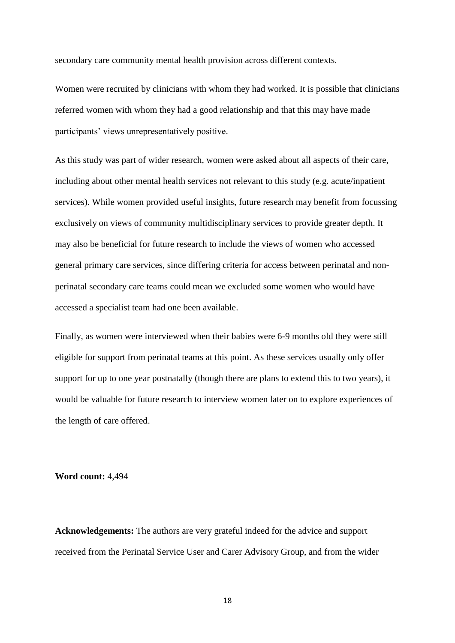secondary care community mental health provision across different contexts.

Women were recruited by clinicians with whom they had worked. It is possible that clinicians referred women with whom they had a good relationship and that this may have made participants' views unrepresentatively positive.

As this study was part of wider research, women were asked about all aspects of their care, including about other mental health services not relevant to this study (e.g. acute/inpatient services). While women provided useful insights, future research may benefit from focussing exclusively on views of community multidisciplinary services to provide greater depth. It may also be beneficial for future research to include the views of women who accessed general primary care services, since differing criteria for access between perinatal and nonperinatal secondary care teams could mean we excluded some women who would have accessed a specialist team had one been available.

Finally, as women were interviewed when their babies were 6-9 months old they were still eligible for support from perinatal teams at this point. As these services usually only offer support for up to one year postnatally (though there are plans to extend this to two years), it would be valuable for future research to interview women later on to explore experiences of the length of care offered.

#### **Word count:** 4,494

**Acknowledgements:** The authors are very grateful indeed for the advice and support received from the Perinatal Service User and Carer Advisory Group, and from the wider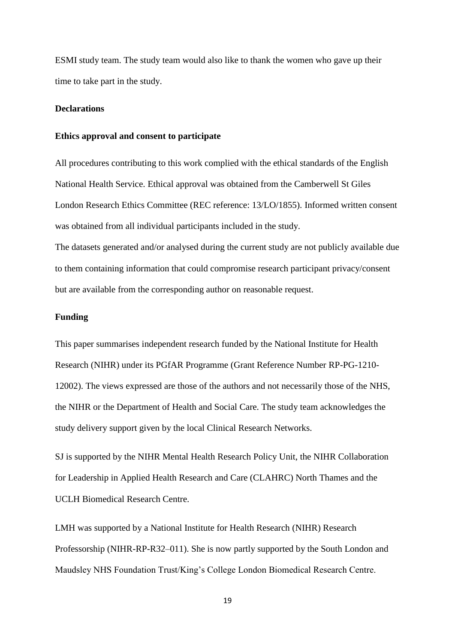ESMI study team. The study team would also like to thank the women who gave up their time to take part in the study.

# **Declarations**

#### **Ethics approval and consent to participate**

All procedures contributing to this work complied with the ethical standards of the English National Health Service. Ethical approval was obtained from the Camberwell St Giles London Research Ethics Committee (REC reference: 13/LO/1855). Informed written consent was obtained from all individual participants included in the study.

The datasets generated and/or analysed during the current study are not publicly available due to them containing information that could compromise research participant privacy/consent but are available from the corresponding author on reasonable request.

## **Funding**

This paper summarises independent research funded by the National Institute for Health Research (NIHR) under its PGfAR Programme (Grant Reference Number RP-PG-1210- 12002). The views expressed are those of the authors and not necessarily those of the NHS, the NIHR or the Department of Health and Social Care. The study team acknowledges the study delivery support given by the local Clinical Research Networks.

SJ is supported by the NIHR Mental Health Research Policy Unit, the NIHR Collaboration for Leadership in Applied Health Research and Care (CLAHRC) North Thames and the UCLH Biomedical Research Centre.

LMH was supported by a National Institute for Health Research (NIHR) Research Professorship (NIHR-RP-R32–011). She is now partly supported by the South London and Maudsley NHS Foundation Trust/King's College London Biomedical Research Centre.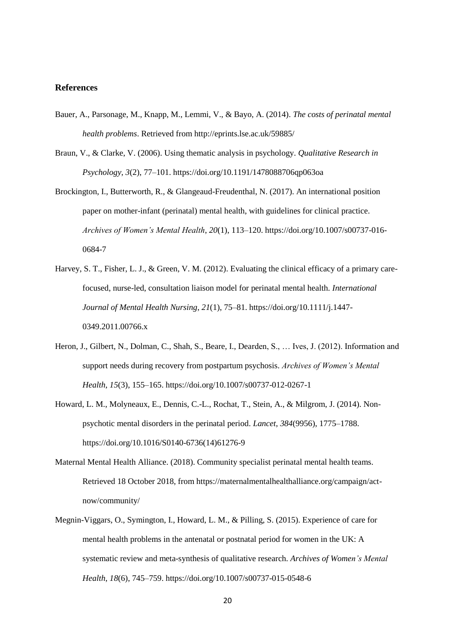#### **References**

- Bauer, A., Parsonage, M., Knapp, M., Lemmi, V., & Bayo, A. (2014). *The costs of perinatal mental health problems*. Retrieved from http://eprints.lse.ac.uk/59885/
- Braun, V., & Clarke, V. (2006). Using thematic analysis in psychology. *Qualitative Research in Psychology*, *3*(2), 77–101. https://doi.org/10.1191/1478088706qp063oa
- Brockington, I., Butterworth, R., & Glangeaud-Freudenthal, N. (2017). An international position paper on mother-infant (perinatal) mental health, with guidelines for clinical practice. *Archives of Women's Mental Health*, *20*(1), 113–120. https://doi.org/10.1007/s00737-016- 0684-7
- Harvey, S. T., Fisher, L. J., & Green, V. M. (2012). Evaluating the clinical efficacy of a primary carefocused, nurse-led, consultation liaison model for perinatal mental health. *International Journal of Mental Health Nursing*, *21*(1), 75–81. https://doi.org/10.1111/j.1447- 0349.2011.00766.x
- Heron, J., Gilbert, N., Dolman, C., Shah, S., Beare, I., Dearden, S., … Ives, J. (2012). Information and support needs during recovery from postpartum psychosis. *Archives of Women's Mental Health*, *15*(3), 155–165. https://doi.org/10.1007/s00737-012-0267-1
- Howard, L. M., Molyneaux, E., Dennis, C.-L., Rochat, T., Stein, A., & Milgrom, J. (2014). Nonpsychotic mental disorders in the perinatal period. *Lancet*, *384*(9956), 1775–1788. https://doi.org/10.1016/S0140-6736(14)61276-9
- Maternal Mental Health Alliance. (2018). Community specialist perinatal mental health teams. Retrieved 18 October 2018, from https://maternalmentalhealthalliance.org/campaign/actnow/community/
- Megnin-Viggars, O., Symington, I., Howard, L. M., & Pilling, S. (2015). Experience of care for mental health problems in the antenatal or postnatal period for women in the UK: A systematic review and meta-synthesis of qualitative research. *Archives of Women's Mental Health*, *18*(6), 745–759. https://doi.org/10.1007/s00737-015-0548-6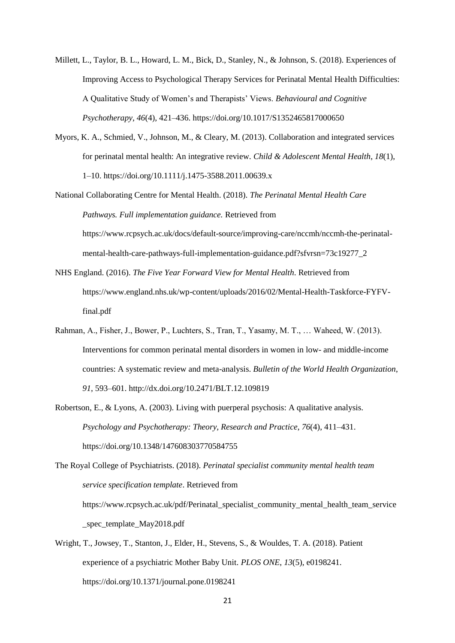- Millett, L., Taylor, B. L., Howard, L. M., Bick, D., Stanley, N., & Johnson, S. (2018). Experiences of Improving Access to Psychological Therapy Services for Perinatal Mental Health Difficulties: A Qualitative Study of Women's and Therapists' Views. *Behavioural and Cognitive Psychotherapy*, *46*(4), 421–436. https://doi.org/10.1017/S1352465817000650
- Myors, K. A., Schmied, V., Johnson, M., & Cleary, M. (2013). Collaboration and integrated services for perinatal mental health: An integrative review. *Child & Adolescent Mental Health*, *18*(1), 1–10. https://doi.org/10.1111/j.1475-3588.2011.00639.x
- National Collaborating Centre for Mental Health. (2018). *The Perinatal Mental Health Care Pathways. Full implementation guidance.* Retrieved from https://www.rcpsych.ac.uk/docs/default-source/improving-care/nccmh/nccmh-the-perinatalmental-health-care-pathways-full-implementation-guidance.pdf?sfvrsn=73c19277\_2
- NHS England. (2016). *The Five Year Forward View for Mental Health*. Retrieved from https://www.england.nhs.uk/wp-content/uploads/2016/02/Mental-Health-Taskforce-FYFVfinal.pdf
- Rahman, A., Fisher, J., Bower, P., Luchters, S., Tran, T., Yasamy, M. T., … Waheed, W. (2013). Interventions for common perinatal mental disorders in women in low- and middle-income countries: A systematic review and meta-analysis. *Bulletin of the World Health Organization*, *91*, 593–601. http://dx.doi.org/10.2471/BLT.12.109819
- Robertson, E., & Lyons, A. (2003). Living with puerperal psychosis: A qualitative analysis. *Psychology and Psychotherapy: Theory, Research and Practice*, *76*(4), 411–431. https://doi.org/10.1348/147608303770584755

The Royal College of Psychiatrists. (2018). *Perinatal specialist community mental health team service specification template*. Retrieved from https://www.rcpsych.ac.uk/pdf/Perinatal\_specialist\_community\_mental\_health\_team\_service \_spec\_template\_May2018.pdf

Wright, T., Jowsey, T., Stanton, J., Elder, H., Stevens, S., & Wouldes, T. A. (2018). Patient experience of a psychiatric Mother Baby Unit. *PLOS ONE*, *13*(5), e0198241. https://doi.org/10.1371/journal.pone.0198241